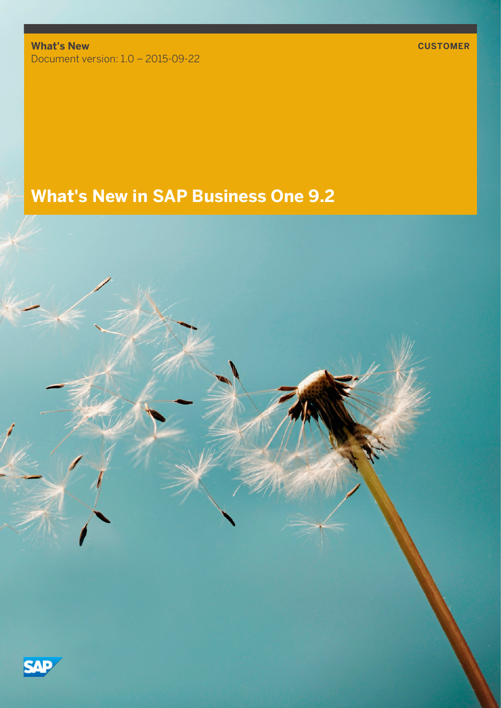**What's New** Document version: 1.0 – 2015-09-22

**What's New in SAP Business One 9.2**

7 J :

**CUSTOMER**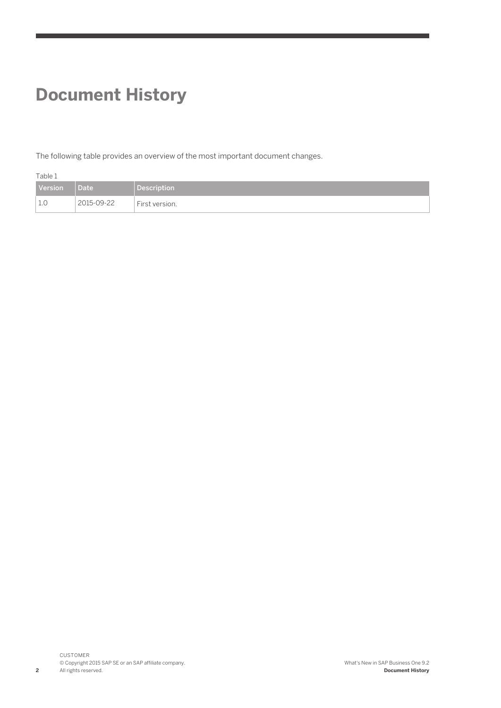### **Document History**

The following table provides an overview of the most important document changes.

| Table 1 |            |                    |
|---------|------------|--------------------|
| Version | Date       | <b>Description</b> |
|         | 2015-09-22 | First version.     |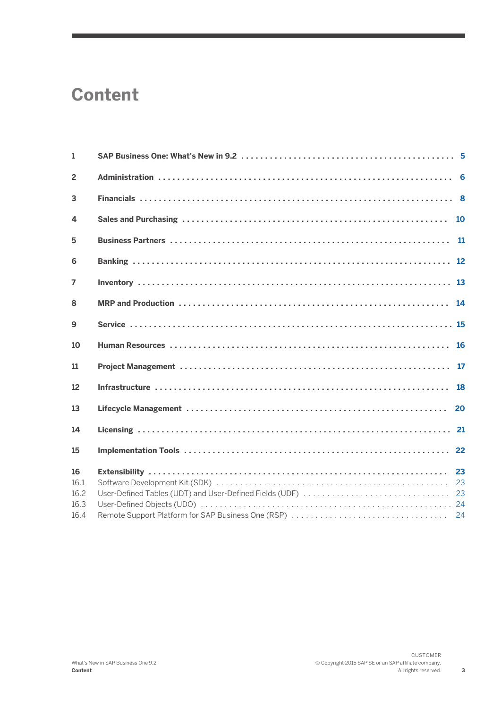### <span id="page-2-0"></span>**Content**

| $\mathbf{1}$               |           |
|----------------------------|-----------|
| $\overline{2}$             |           |
| 3                          |           |
| 4                          | 10        |
| 5                          | <b>11</b> |
| 6                          |           |
| $\overline{ }$             |           |
| 8                          |           |
| 9                          |           |
| 10                         |           |
| 11                         |           |
| 12                         |           |
| 13                         | 20        |
| 14                         |           |
| 15                         |           |
| 16<br>16.1<br>16.2<br>16.3 |           |
| 16.4                       |           |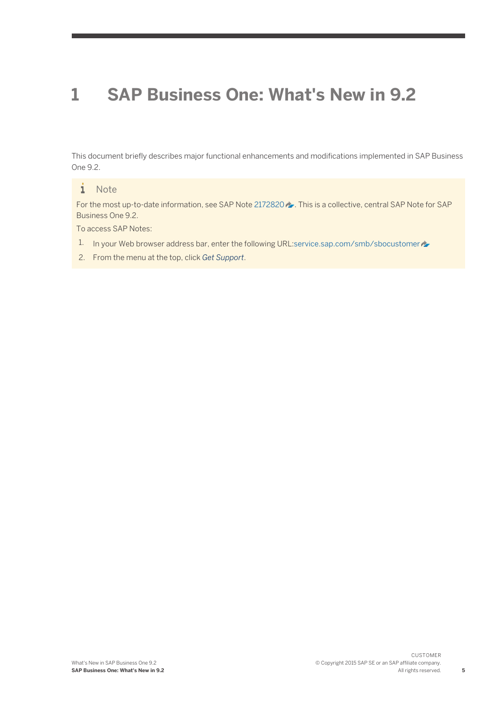### <span id="page-4-0"></span>**1 [SAP Business One: What's New in 9.2](#page-2-0)**

This document briefly describes major functional enhancements and modifications implemented in SAP Business One 9.2.

#### i **Note**

For the most up-to-date information, see SAP Note [2172820](http://help.sap.com/disclaimer?site=http%3A%2F%2Fservice.sap.com%2F~form%2Fhandler%3F_APP%3D01100107900000000342%26_EVENT%3DREDIR%26_NNUM%3D2172820%26_NLANG%3Den%26_NVERS%3D0) ... This is a collective, central SAP Note for SAP Business One 9.2.

To access SAP Notes:

- 1. In your Web browser address bar, enter the following URL[:service.sap.com/smb/sbocustomer](http://help.sap.com/disclaimer?site=http%3A%2F%2Fservice.sap.com%2Fsmb%2Fsbocustomer)
- 2. From the menu at the top, click *Get Support*.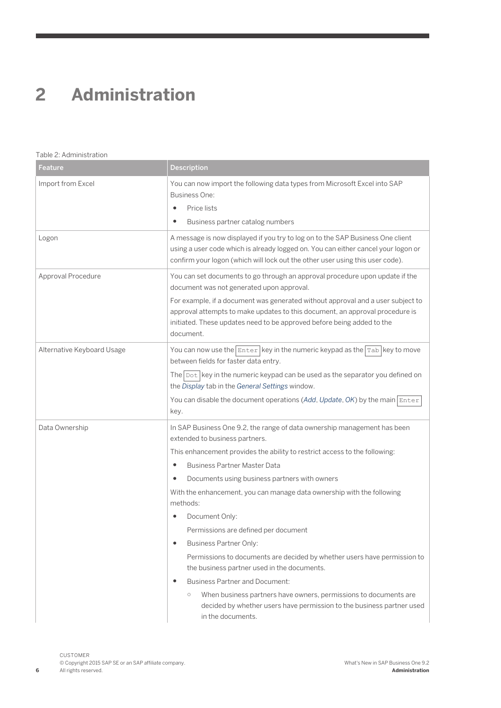# <span id="page-5-0"></span>**2 [Administration](#page-2-0)**

#### Table 2: Administration

| Feature                    | <b>Description</b>                                                                                                                                                                                                                                            |
|----------------------------|---------------------------------------------------------------------------------------------------------------------------------------------------------------------------------------------------------------------------------------------------------------|
| Import from Excel          | You can now import the following data types from Microsoft Excel into SAP<br><b>Business One:</b><br>Price lists<br>$\bullet$<br>Business partner catalog numbers                                                                                             |
|                            |                                                                                                                                                                                                                                                               |
| Logon                      | A message is now displayed if you try to log on to the SAP Business One client<br>using a user code which is already logged on. You can either cancel your logon or<br>confirm your logon (which will lock out the other user using this user code).          |
| Approval Procedure         | You can set documents to go through an approval procedure upon update if the<br>document was not generated upon approval.                                                                                                                                     |
|                            | For example, if a document was generated without approval and a user subject to<br>approval attempts to make updates to this document, an approval procedure is<br>initiated. These updates need to be approved before being added to the<br>document.        |
| Alternative Keyboard Usage | You can now use the $\frac{F}{E}$ Enter $\frac{F}{E}$ in the numeric keypad as the $\frac{F}{E}$ key to move<br>between fields for faster data entry.<br>The $\lceil \text{Dot} \rceil$ key in the numeric keypad can be used as the separator you defined on |
|                            | the Display tab in the General Settings window.<br>You can disable the document operations (Add, Update, OK) by the main $\vert$ Enter<br>key.                                                                                                                |
| Data Ownership             | In SAP Business One 9.2, the range of data ownership management has been<br>extended to business partners.                                                                                                                                                    |
|                            | This enhancement provides the ability to restrict access to the following:                                                                                                                                                                                    |
|                            | <b>Business Partner Master Data</b><br>$\bullet$                                                                                                                                                                                                              |
|                            | Documents using business partners with owners                                                                                                                                                                                                                 |
|                            | With the enhancement, you can manage data ownership with the following<br>methods:                                                                                                                                                                            |
|                            | Document Only:                                                                                                                                                                                                                                                |
|                            | Permissions are defined per document                                                                                                                                                                                                                          |
|                            | <b>Business Partner Only:</b><br>$\bullet$                                                                                                                                                                                                                    |
|                            | Permissions to documents are decided by whether users have permission to<br>the business partner used in the documents.                                                                                                                                       |
|                            | <b>Business Partner and Document:</b><br>$\bullet$                                                                                                                                                                                                            |
|                            | $\bigcirc$<br>When business partners have owners, permissions to documents are<br>decided by whether users have permission to the business partner used<br>in the documents.                                                                                  |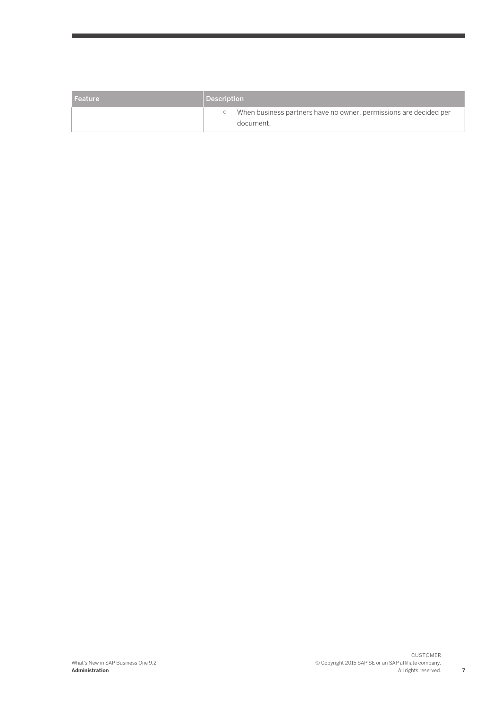| l Feature | Description                                                                    |  |  |
|-----------|--------------------------------------------------------------------------------|--|--|
|           | When business partners have no owner, permissions are decided per<br>document. |  |  |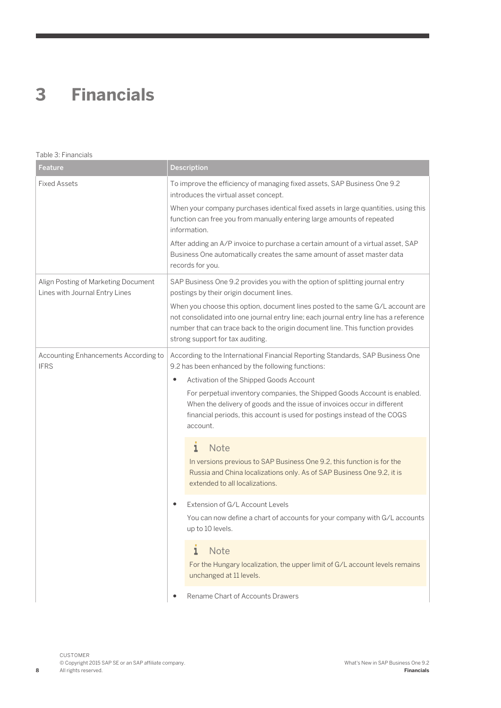## <span id="page-7-0"></span>**3 [Financials](#page-2-0)**

| Table 3: Financials                                                   |                                                                                                                                                                                                                                                                                                                                                                                                                                                                  |  |  |
|-----------------------------------------------------------------------|------------------------------------------------------------------------------------------------------------------------------------------------------------------------------------------------------------------------------------------------------------------------------------------------------------------------------------------------------------------------------------------------------------------------------------------------------------------|--|--|
| Feature                                                               | <b>Description</b>                                                                                                                                                                                                                                                                                                                                                                                                                                               |  |  |
| <b>Fixed Assets</b>                                                   | To improve the efficiency of managing fixed assets, SAP Business One 9.2<br>introduces the virtual asset concept.<br>When your company purchases identical fixed assets in large quantities, using this<br>function can free you from manually entering large amounts of repeated<br>information.<br>After adding an A/P invoice to purchase a certain amount of a virtual asset, SAP<br>Business One automatically creates the same amount of asset master data |  |  |
| Align Posting of Marketing Document<br>Lines with Journal Entry Lines | records for you.<br>SAP Business One 9.2 provides you with the option of splitting journal entry<br>postings by their origin document lines.<br>When you choose this option, document lines posted to the same G/L account are<br>not consolidated into one journal entry line; each journal entry line has a reference<br>number that can trace back to the origin document line. This function provides<br>strong support for tax auditing.                    |  |  |
| Accounting Enhancements According to<br><b>IFRS</b>                   | According to the International Financial Reporting Standards, SAP Business One<br>9.2 has been enhanced by the following functions:<br>Activation of the Shipped Goods Account<br>٠<br>For perpetual inventory companies, the Shipped Goods Account is enabled.<br>When the delivery of goods and the issue of invoices occur in different<br>financial periods, this account is used for postings instead of the COGS<br>account.                               |  |  |
|                                                                       | <b>Note</b><br>$\mathbf{I}$<br>In versions previous to SAP Business One 9.2, this function is for the<br>Russia and China localizations only. As of SAP Business One 9.2, it is<br>extended to all localizations.                                                                                                                                                                                                                                                |  |  |
|                                                                       | Extension of G/L Account Levels<br>$\bullet$<br>You can now define a chart of accounts for your company with G/L accounts<br>up to 10 levels.                                                                                                                                                                                                                                                                                                                    |  |  |
|                                                                       | <b>Note</b><br>1<br>For the Hungary localization, the upper limit of G/L account levels remains<br>unchanged at 11 levels.                                                                                                                                                                                                                                                                                                                                       |  |  |
|                                                                       | Rename Chart of Accounts Drawers                                                                                                                                                                                                                                                                                                                                                                                                                                 |  |  |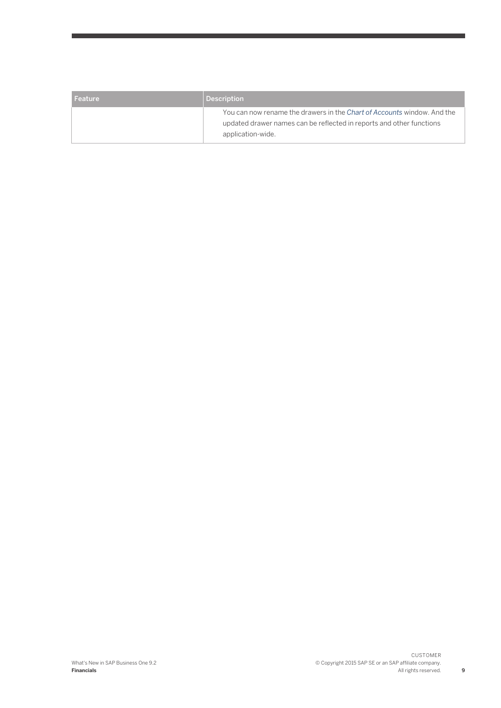| l Feature | <b>Description</b>                                                                                                                                                   |
|-----------|----------------------------------------------------------------------------------------------------------------------------------------------------------------------|
|           | You can now rename the drawers in the Chart of Accounts window. And the<br>updated drawer names can be reflected in reports and other functions<br>application-wide. |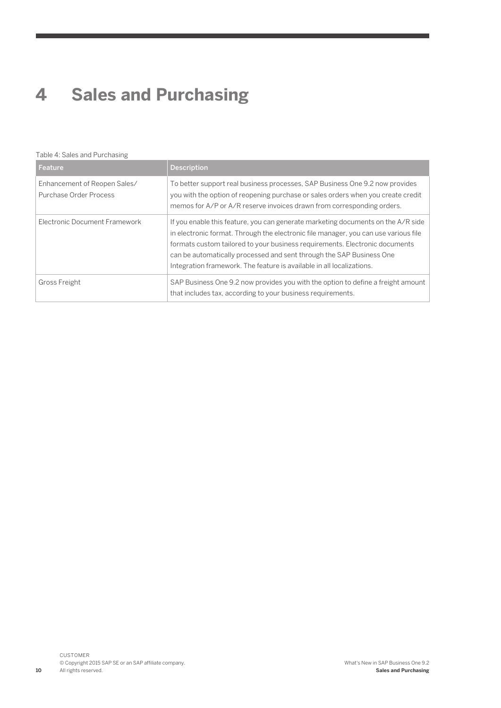# <span id="page-9-0"></span>**4 [Sales and Purchasing](#page-2-0)**

#### Table 4: Sales and Purchasing

| Feature                                                | <b>Description</b>                                                                                                                                                                                                                                                                                                                                                                                      |
|--------------------------------------------------------|---------------------------------------------------------------------------------------------------------------------------------------------------------------------------------------------------------------------------------------------------------------------------------------------------------------------------------------------------------------------------------------------------------|
| Enhancement of Reopen Sales/<br>Purchase Order Process | To better support real business processes, SAP Business One 9.2 now provides<br>you with the option of reopening purchase or sales orders when you create credit<br>memos for A/P or A/R reserve invoices drawn from corresponding orders.                                                                                                                                                              |
| Electronic Document Framework                          | If you enable this feature, you can generate marketing documents on the A/R side<br>in electronic format. Through the electronic file manager, you can use various file<br>formats custom tailored to your business requirements. Electronic documents<br>can be automatically processed and sent through the SAP Business One<br>Integration framework. The feature is available in all localizations. |
| <b>Gross Freight</b>                                   | SAP Business One 9.2 now provides you with the option to define a freight amount<br>that includes tax, according to your business requirements.                                                                                                                                                                                                                                                         |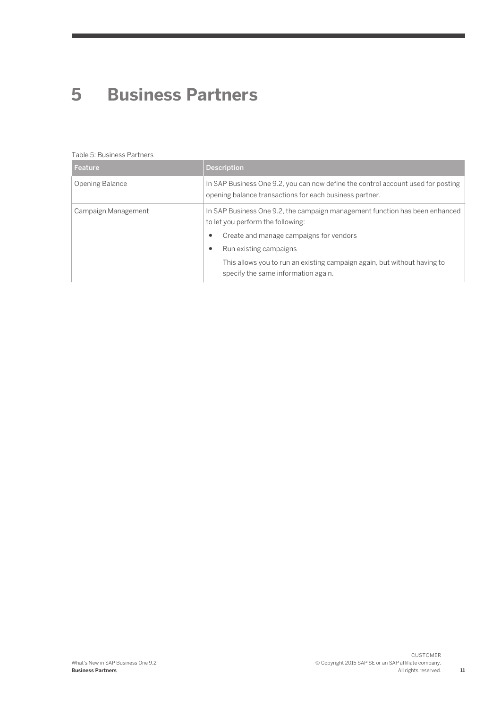### <span id="page-10-0"></span>**5 [Business Partners](#page-2-0)**

#### Table 5: Business Partners

| Feature                | <b>Description</b>                                                                                                                                               |
|------------------------|------------------------------------------------------------------------------------------------------------------------------------------------------------------|
| <b>Opening Balance</b> | In SAP Business One 9.2, you can now define the control account used for posting<br>opening balance transactions for each business partner.                      |
| Campaign Management    | In SAP Business One 9.2, the campaign management function has been enhanced<br>to let you perform the following:<br>Create and manage campaigns for vendors<br>٠ |
|                        | Run existing campaigns<br>٠                                                                                                                                      |
|                        | This allows you to run an existing campaign again, but without having to<br>specify the same information again.                                                  |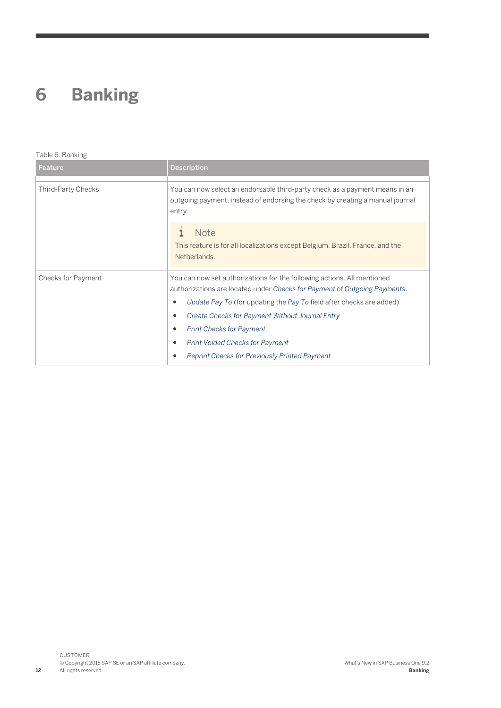### <span id="page-11-0"></span>**6 [Banking](#page-2-0)**

#### Table 6: Banking

| Feature            | <b>Description</b>                                                                                                                                                                                                                                                                                                                                                                                                                                               |
|--------------------|------------------------------------------------------------------------------------------------------------------------------------------------------------------------------------------------------------------------------------------------------------------------------------------------------------------------------------------------------------------------------------------------------------------------------------------------------------------|
| Third-Party Checks | You can now select an endorsable third-party check as a payment means in an<br>outgoing payment, instead of endorsing the check by creating a manual journal<br>entry.                                                                                                                                                                                                                                                                                           |
|                    | <b>Note</b><br>This feature is for all localizations except Belgium, Brazil, France, and the<br>Netherlands.                                                                                                                                                                                                                                                                                                                                                     |
| Checks for Payment | You can now set authorizations for the following actions. All mentioned<br>authorizations are located under Checks for Payment of Outgoing Payments.<br>Update Pay To (for updating the Pay To field after checks are added)<br>$\bullet$<br>Create Checks for Payment Without Journal Entry<br>$\bullet$<br><b>Print Checks for Payment</b><br>٠<br><b>Print Voided Checks for Payment</b><br>$\bullet$<br><b>Reprint Checks for Previously Printed Payment</b> |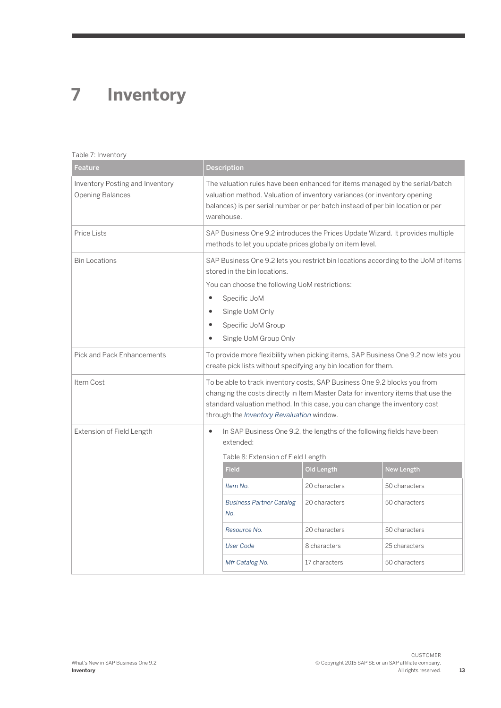## <span id="page-12-0"></span>**7 [Inventory](#page-2-0)**

#### Table 7: Inventory

| Feature                                                    |                                                                                                                                                                                                                                                                                          | <b>Description</b>                     |               |                   |
|------------------------------------------------------------|------------------------------------------------------------------------------------------------------------------------------------------------------------------------------------------------------------------------------------------------------------------------------------------|----------------------------------------|---------------|-------------------|
| Inventory Posting and Inventory<br><b>Opening Balances</b> | The valuation rules have been enhanced for items managed by the serial/batch<br>valuation method. Valuation of inventory variances (or inventory opening<br>balances) is per serial number or per batch instead of per bin location or per<br>warehouse.                                 |                                        |               |                   |
| <b>Price Lists</b>                                         | SAP Business One 9.2 introduces the Prices Update Wizard. It provides multiple<br>methods to let you update prices globally on item level.                                                                                                                                               |                                        |               |                   |
| <b>Bin Locations</b>                                       | SAP Business One 9.2 lets you restrict bin locations according to the UoM of items<br>stored in the bin locations.<br>You can choose the following UoM restrictions:<br>$\bullet$<br>Specific UoM<br>Single UoM Only<br>$\bullet$<br>Specific UoM Group<br>Single UoM Group Only         |                                        |               |                   |
| <b>Pick and Pack Enhancements</b>                          | To provide more flexibility when picking items, SAP Business One 9.2 now lets you<br>create pick lists without specifying any bin location for them.                                                                                                                                     |                                        |               |                   |
| Item Cost                                                  | To be able to track inventory costs, SAP Business One 9.2 blocks you from<br>changing the costs directly in Item Master Data for inventory items that use the<br>standard valuation method. In this case, you can change the inventory cost<br>through the Inventory Revaluation window. |                                        |               |                   |
| Extension of Field Length                                  | In SAP Business One 9.2, the lengths of the following fields have been<br>$\bullet$<br>extended:<br>Table 8: Extension of Field Length                                                                                                                                                   |                                        |               |                   |
|                                                            |                                                                                                                                                                                                                                                                                          | <b>Field</b>                           | Old Length    | <b>New Length</b> |
|                                                            |                                                                                                                                                                                                                                                                                          | Item No.                               | 20 characters | 50 characters     |
|                                                            |                                                                                                                                                                                                                                                                                          | <b>Business Partner Catalog</b><br>No. | 20 characters | 50 characters     |
|                                                            |                                                                                                                                                                                                                                                                                          | Resource No.                           | 20 characters | 50 characters     |
|                                                            |                                                                                                                                                                                                                                                                                          | <b>User Code</b>                       | 8 characters  | 25 characters     |
|                                                            |                                                                                                                                                                                                                                                                                          | Mfr Catalog No.                        | 17 characters | 50 characters     |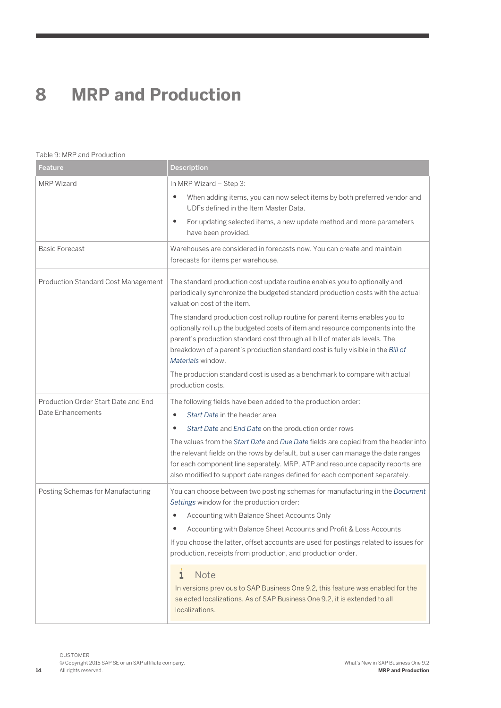### <span id="page-13-0"></span>**8 [MRP and Production](#page-2-0)**

#### Table 9: MRP and Production

| Feature                             | <b>Description</b>                                                                                                                                                                                                                                                                                                                                    |  |  |
|-------------------------------------|-------------------------------------------------------------------------------------------------------------------------------------------------------------------------------------------------------------------------------------------------------------------------------------------------------------------------------------------------------|--|--|
| <b>MRP Wizard</b>                   | In MRP Wizard - Step 3:<br>When adding items, you can now select items by both preferred vendor and<br>٠<br>UDFs defined in the Item Master Data.<br>For updating selected items, a new update method and more parameters<br>$\bullet$                                                                                                                |  |  |
|                                     | have been provided.                                                                                                                                                                                                                                                                                                                                   |  |  |
| <b>Basic Forecast</b>               | Warehouses are considered in forecasts now. You can create and maintain<br>forecasts for items per warehouse.                                                                                                                                                                                                                                         |  |  |
| Production Standard Cost Management | The standard production cost update routine enables you to optionally and<br>periodically synchronize the budgeted standard production costs with the actual<br>valuation cost of the item.                                                                                                                                                           |  |  |
|                                     | The standard production cost rollup routine for parent items enables you to<br>optionally roll up the budgeted costs of item and resource components into the<br>parent's production standard cost through all bill of materials levels. The<br>breakdown of a parent's production standard cost is fully visible in the Bill of<br>Materials window. |  |  |
|                                     | The production standard cost is used as a benchmark to compare with actual<br>production costs.                                                                                                                                                                                                                                                       |  |  |
| Production Order Start Date and End | The following fields have been added to the production order:                                                                                                                                                                                                                                                                                         |  |  |
| Date Enhancements                   | Start Date in the header area<br>٠                                                                                                                                                                                                                                                                                                                    |  |  |
|                                     | Start Date and End Date on the production order rows<br>٠                                                                                                                                                                                                                                                                                             |  |  |
|                                     | The values from the Start Date and Due Date fields are copied from the header into<br>the relevant fields on the rows by default, but a user can manage the date ranges<br>for each component line separately. MRP, ATP and resource capacity reports are<br>also modified to support date ranges defined for each component separately.              |  |  |
| Posting Schemas for Manufacturing   | You can choose between two posting schemas for manufacturing in the Document<br>Settings window for the production order:<br>Accounting with Balance Sheet Accounts Only<br>٠                                                                                                                                                                         |  |  |
|                                     | Accounting with Balance Sheet Accounts and Profit & Loss Accounts<br>٠                                                                                                                                                                                                                                                                                |  |  |
|                                     | If you choose the latter, offset accounts are used for postings related to issues for<br>production, receipts from production, and production order.                                                                                                                                                                                                  |  |  |
|                                     | <b>Note</b><br>ı<br>In versions previous to SAP Business One 9.2, this feature was enabled for the<br>selected localizations. As of SAP Business One 9.2, it is extended to all<br>localizations.                                                                                                                                                     |  |  |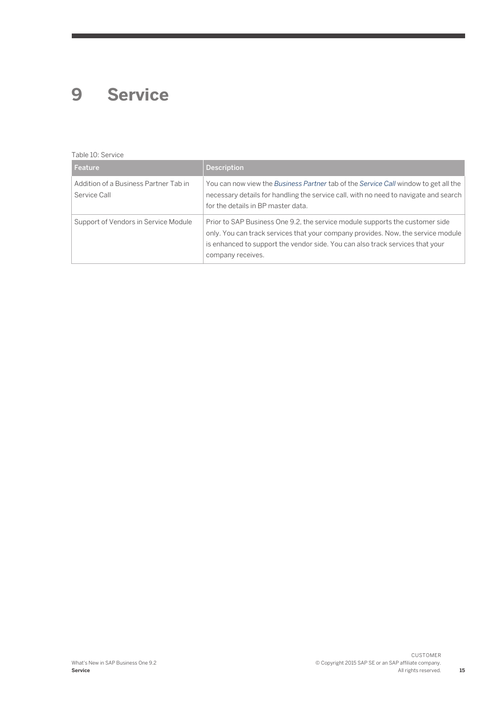### <span id="page-14-0"></span>**9 [Service](#page-2-0)**

#### Table 10: Service

| Feature                                               | <b>Description</b>                                                                                                                                                                                                                                                       |
|-------------------------------------------------------|--------------------------------------------------------------------------------------------------------------------------------------------------------------------------------------------------------------------------------------------------------------------------|
| Addition of a Business Partner Tab in<br>Service Call | You can now view the Business Partner tab of the Service Call window to get all the<br>necessary details for handling the service call, with no need to navigate and search<br>for the details in BP master data.                                                        |
| Support of Vendors in Service Module                  | Prior to SAP Business One 9.2, the service module supports the customer side<br>only. You can track services that your company provides. Now, the service module  <br>is enhanced to support the vendor side. You can also track services that your<br>company receives. |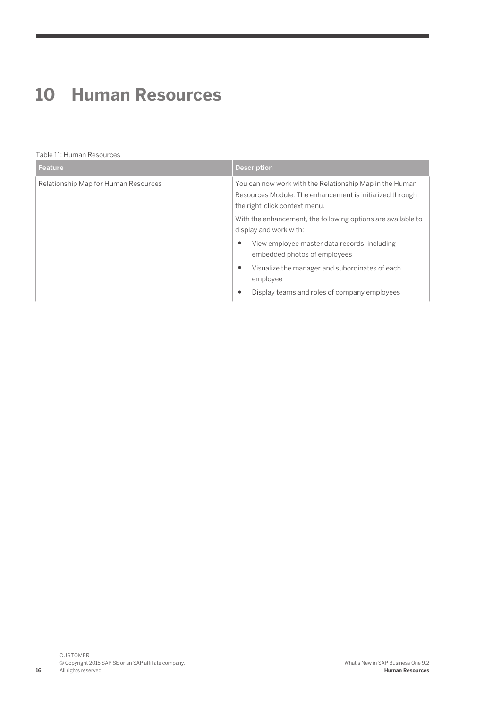### <span id="page-15-0"></span>**10 [Human Resources](#page-2-0)**

#### Table 11: Human Resources

| Feature                              | <b>Description</b>                                                                                                                                   |
|--------------------------------------|------------------------------------------------------------------------------------------------------------------------------------------------------|
| Relationship Map for Human Resources | You can now work with the Relationship Map in the Human<br>Resources Module. The enhancement is initialized through<br>the right-click context menu. |
|                                      | With the enhancement, the following options are available to<br>display and work with:                                                               |
|                                      | View employee master data records, including<br>embedded photos of employees                                                                         |
|                                      | Visualize the manager and subordinates of each<br>employee                                                                                           |
|                                      | Display teams and roles of company employees                                                                                                         |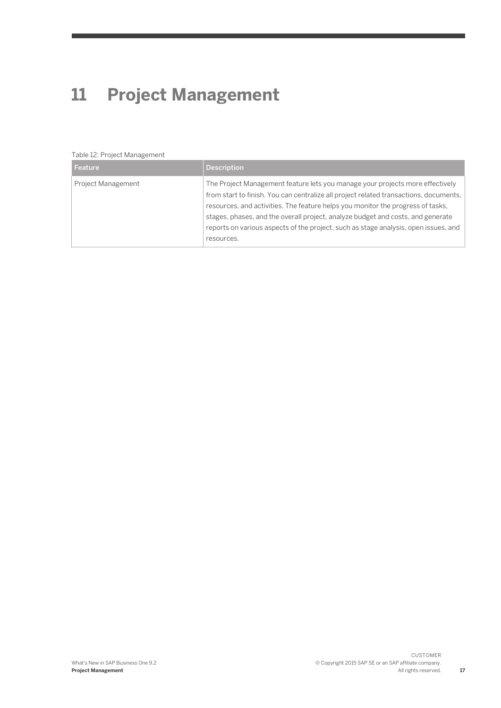# <span id="page-16-0"></span>**11 [Project Management](#page-2-0)**

#### Table 12: Project Management

| Feature            | <b>Description</b>                                                                                                                                                                                                                                                                                                                                                                                                                                |
|--------------------|---------------------------------------------------------------------------------------------------------------------------------------------------------------------------------------------------------------------------------------------------------------------------------------------------------------------------------------------------------------------------------------------------------------------------------------------------|
| Project Management | The Project Management feature lets you manage your projects more effectively<br>from start to finish. You can centralize all project related transactions, documents,<br>resources, and activities. The feature helps you monitor the progress of tasks,<br>stages, phases, and the overall project, analyze budget and costs, and generate<br>reports on various aspects of the project, such as stage analysis, open issues, and<br>resources. |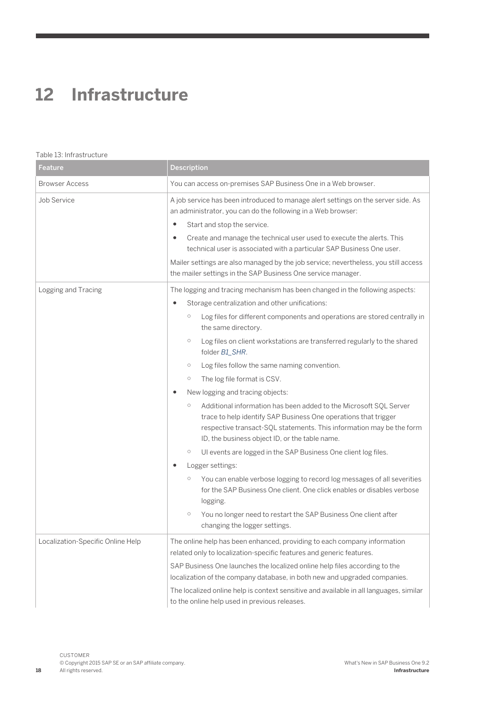### <span id="page-17-0"></span>**12 [Infrastructure](#page-2-0)**

#### Table 13: Infrastructure

| Feature                           | <b>Description</b>                                                                                                                                                                                                                                                                                                                                                                                                                                                                                                                                                                                                                                                                                                                                                                                                                                                                                                                                                                                                                                                                                                                                                                         |  |
|-----------------------------------|--------------------------------------------------------------------------------------------------------------------------------------------------------------------------------------------------------------------------------------------------------------------------------------------------------------------------------------------------------------------------------------------------------------------------------------------------------------------------------------------------------------------------------------------------------------------------------------------------------------------------------------------------------------------------------------------------------------------------------------------------------------------------------------------------------------------------------------------------------------------------------------------------------------------------------------------------------------------------------------------------------------------------------------------------------------------------------------------------------------------------------------------------------------------------------------------|--|
| <b>Browser Access</b>             | You can access on-premises SAP Business One in a Web browser.                                                                                                                                                                                                                                                                                                                                                                                                                                                                                                                                                                                                                                                                                                                                                                                                                                                                                                                                                                                                                                                                                                                              |  |
| Job Service                       | A job service has been introduced to manage alert settings on the server side. As<br>an administrator, you can do the following in a Web browser:<br>$\bullet$<br>Start and stop the service.<br>Create and manage the technical user used to execute the alerts. This<br>$\bullet$<br>technical user is associated with a particular SAP Business One user.<br>Mailer settings are also managed by the job service; nevertheless, you still access<br>the mailer settings in the SAP Business One service manager.                                                                                                                                                                                                                                                                                                                                                                                                                                                                                                                                                                                                                                                                        |  |
| Logging and Tracing               | The logging and tracing mechanism has been changed in the following aspects:<br>Storage centralization and other unifications:<br>Log files for different components and operations are stored centrally in<br>$\circ$<br>the same directory.<br>Log files on client workstations are transferred regularly to the shared<br>$\bigcirc$<br>folder B1_SHR.<br>Log files follow the same naming convention.<br>$\circ$<br>The log file format is CSV.<br>$\bigcirc$<br>New logging and tracing objects:<br>Additional information has been added to the Microsoft SOL Server<br>$\circ$<br>trace to help identify SAP Business One operations that trigger<br>respective transact-SQL statements. This information may be the form<br>ID, the business object ID, or the table name.<br>UI events are logged in the SAP Business One client log files.<br>$\circ$<br>Logger settings:<br>You can enable verbose logging to record log messages of all severities<br>$\circ$<br>for the SAP Business One client. One click enables or disables verbose<br>logging.<br>$\circlearrowright$<br>You no longer need to restart the SAP Business One client after<br>changing the logger settings. |  |
| Localization-Specific Online Help | The online help has been enhanced, providing to each company information<br>related only to localization-specific features and generic features.<br>SAP Business One launches the localized online help files according to the<br>localization of the company database, in both new and upgraded companies.<br>The localized online help is context sensitive and available in all languages, similar<br>to the online help used in previous releases.                                                                                                                                                                                                                                                                                                                                                                                                                                                                                                                                                                                                                                                                                                                                     |  |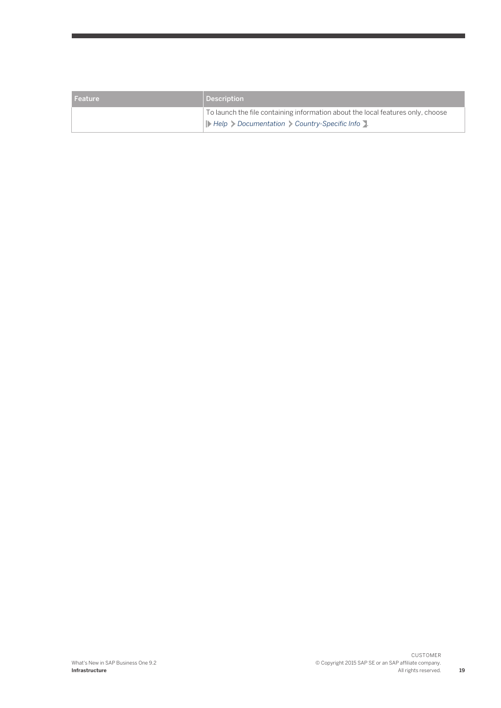| l Feature | Description                                                                                                                                                                                                           |
|-----------|-----------------------------------------------------------------------------------------------------------------------------------------------------------------------------------------------------------------------|
|           | To launch the file containing information about the local features only, choose<br>$\blacktriangleright$ Help $\blacktriangleright$ Documentation $\blacktriangleright$ Country-Specific Info $\blacktriangleright$ . |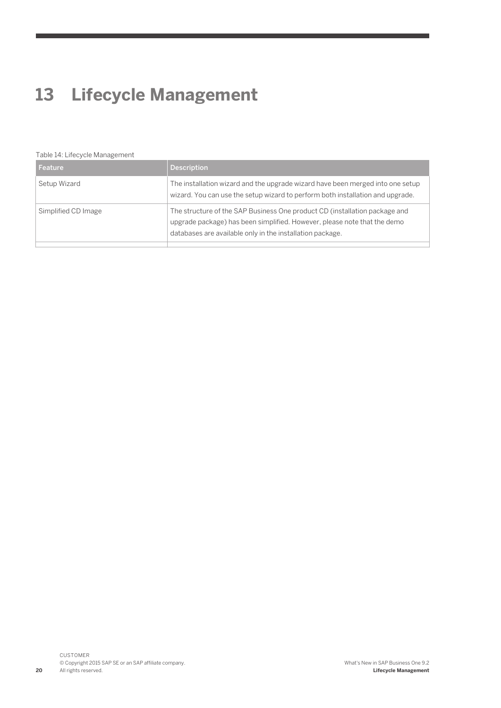### <span id="page-19-0"></span>**13 [Lifecycle Management](#page-2-0)**

#### Table 14: Lifecycle Management

| Feature             | <b>Description</b>                                                                                                                                                                                                  |
|---------------------|---------------------------------------------------------------------------------------------------------------------------------------------------------------------------------------------------------------------|
| Setup Wizard        | The installation wizard and the upgrade wizard have been merged into one setup<br>wizard. You can use the setup wizard to perform both installation and upgrade.                                                    |
| Simplified CD Image | The structure of the SAP Business One product CD (installation package and<br>upgrade package) has been simplified. However, please note that the demo<br>databases are available only in the installation package. |
|                     |                                                                                                                                                                                                                     |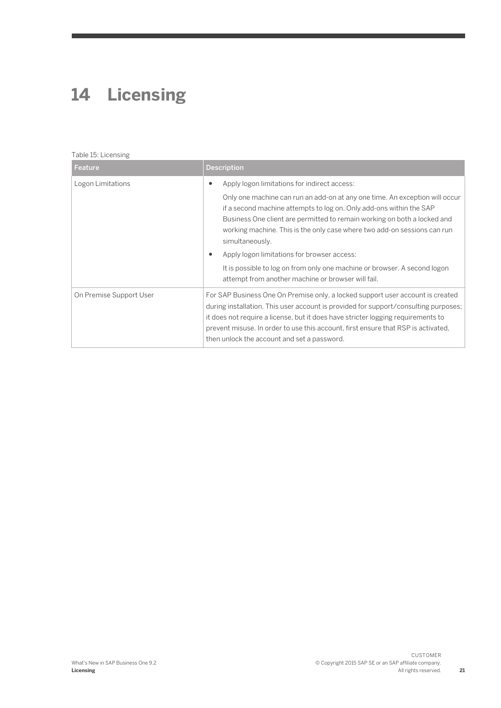## <span id="page-20-0"></span>**14 [Licensing](#page-2-0)**

#### Table 15: Licensing

| Feature                 | <b>Description</b>                                                                                                                                                                                                                                                                                                                                                                                                                                                                                                                                                                        |
|-------------------------|-------------------------------------------------------------------------------------------------------------------------------------------------------------------------------------------------------------------------------------------------------------------------------------------------------------------------------------------------------------------------------------------------------------------------------------------------------------------------------------------------------------------------------------------------------------------------------------------|
| Logon Limitations       | Apply logon limitations for indirect access:<br>$\bullet$<br>Only one machine can run an add-on at any one time. An exception will occur<br>if a second machine attempts to log on. Only add-ons within the SAP<br>Business One client are permitted to remain working on both a locked and<br>working machine. This is the only case where two add-on sessions can run<br>simultaneously.<br>Apply logon limitations for browser access:<br>$\bullet$<br>It is possible to log on from only one machine or browser. A second logon<br>attempt from another machine or browser will fail. |
| On Premise Support User | For SAP Business One On Premise only, a locked support user account is created<br>during installation. This user account is provided for support/consulting purposes;<br>it does not require a license, but it does have stricter logging requirements to<br>prevent misuse. In order to use this account, first ensure that RSP is activated,<br>then unlock the account and set a password.                                                                                                                                                                                             |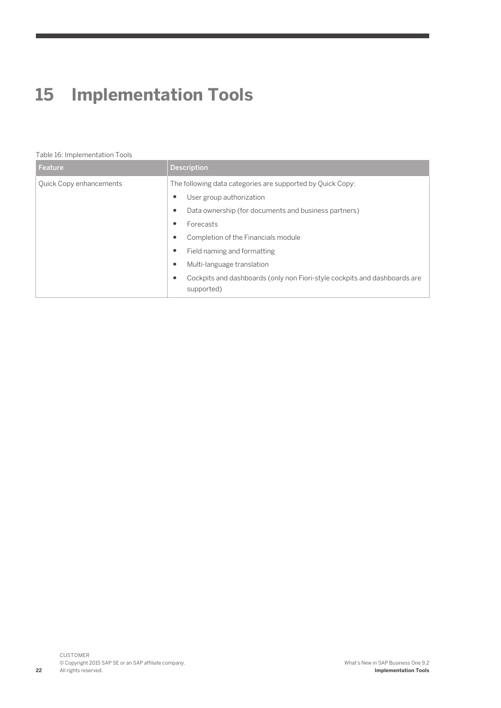# <span id="page-21-0"></span>**15 [Implementation Tools](#page-2-0)**

#### Table 16: Implementation Tools

| Feature                 | <b>Description</b>                                                                           |
|-------------------------|----------------------------------------------------------------------------------------------|
| Quick Copy enhancements | The following data categories are supported by Quick Copy:                                   |
|                         | User group authorization<br>٠                                                                |
|                         | Data ownership (for documents and business partners)<br>٠                                    |
|                         | Forecasts<br>٠                                                                               |
|                         | Completion of the Financials module<br>٠                                                     |
|                         | Field naming and formatting<br>٠                                                             |
|                         | Multi-language translation<br>$\bullet$                                                      |
|                         | Cockpits and dashboards (only non Fiori-style cockpits and dashboards are<br>٠<br>supported) |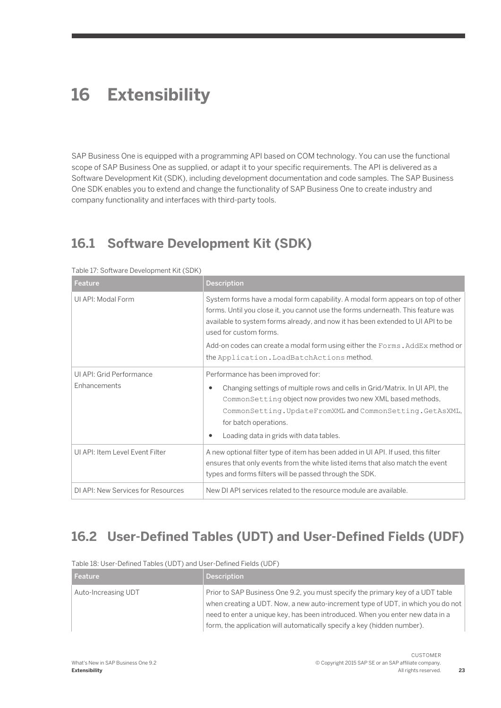### <span id="page-22-0"></span>**16 [Extensibility](#page-2-0)**

SAP Business One is equipped with a programming API based on COM technology. You can use the functional scope of SAP Business One as supplied, or adapt it to your specific requirements. The API is delivered as a Software Development Kit (SDK), including development documentation and code samples. The SAP Business One SDK enables you to extend and change the functionality of SAP Business One to create industry and company functionality and interfaces with third-party tools.

### **16.1 [Software Development Kit \(SDK\)](#page-2-0)**

| Feature                                  | <b>Description</b>                                                                                                                                                                                                                                                                                                                                                                                            |  |  |
|------------------------------------------|---------------------------------------------------------------------------------------------------------------------------------------------------------------------------------------------------------------------------------------------------------------------------------------------------------------------------------------------------------------------------------------------------------------|--|--|
| UI API: Modal Form                       | System forms have a modal form capability. A modal form appears on top of other<br>forms. Until you close it, you cannot use the forms underneath. This feature was<br>available to system forms already, and now it has been extended to UI API to be<br>used for custom forms.<br>Add-on codes can create a modal form using either the Forms. AddEx method or<br>the Application. LoadBatchActions method. |  |  |
| UI API: Grid Performance<br>Enhancements | Performance has been improved for:<br>Changing settings of multiple rows and cells in Grid/Matrix. In UI API, the<br>٠<br>CommonSetting object now provides two new XML based methods,<br>CommonSetting.UpdateFromXMLandCommonSetting.GetAsXML,<br>for batch operations.<br>Loading data in grids with data tables.<br>٠                                                                                      |  |  |
| UI API: Item Level Event Filter          | A new optional filter type of item has been added in UI API. If used, this filter<br>ensures that only events from the white listed items that also match the event<br>types and forms filters will be passed through the SDK.                                                                                                                                                                                |  |  |
| DI API: New Services for Resources       | New DI API services related to the resource module are available.                                                                                                                                                                                                                                                                                                                                             |  |  |

Table 17: Software Development Kit (SDK)

### **16.2 [User-Defined Tables \(UDT\) and User-Defined Fields \(UDF\)](#page-2-0)**

| TAULT TO, USEL DETINED TAULES (UD I JAHR USEL DETINED LIERS (UDI ) |                                                                                                                                                                                                                                                                                                                               |  |
|--------------------------------------------------------------------|-------------------------------------------------------------------------------------------------------------------------------------------------------------------------------------------------------------------------------------------------------------------------------------------------------------------------------|--|
| Feature                                                            | <b>Description</b>                                                                                                                                                                                                                                                                                                            |  |
| Auto-Increasing UDT                                                | Prior to SAP Business One 9.2, you must specify the primary key of a UDT table<br>when creating a UDT. Now, a new auto-increment type of UDT, in which you do not<br>need to enter a unique key, has been introduced. When you enter new data in a<br>form, the application will automatically specify a key (hidden number). |  |

Table 18: User-Defined Tables (UDT) and User-Defined Fields (UDF)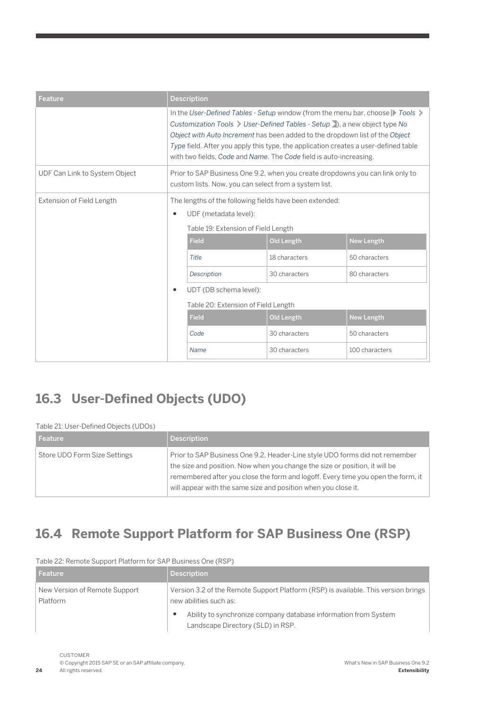<span id="page-23-0"></span>

| Feature                          | <b>Description</b>                                                                                                                                                                                                                                                                                                                                                                                        |                        |               |                   |
|----------------------------------|-----------------------------------------------------------------------------------------------------------------------------------------------------------------------------------------------------------------------------------------------------------------------------------------------------------------------------------------------------------------------------------------------------------|------------------------|---------------|-------------------|
|                                  | In the User-Defined Tables - Setup window (from the menu bar, choose ) Tools ><br>Customization Tools > User-Defined Tables - Setup >), a new object type No<br>Object with Auto Increment has been added to the dropdown list of the Object<br>Type field. After you apply this type, the application creates a user-defined table<br>with two fields, Code and Name. The Code field is auto-increasing. |                        |               |                   |
| UDF Can Link to System Object    | Prior to SAP Business One 9.2, when you create dropdowns you can link only to<br>custom lists. Now, you can select from a system list.                                                                                                                                                                                                                                                                    |                        |               |                   |
| <b>Extension of Field Length</b> | The lengths of the following fields have been extended:                                                                                                                                                                                                                                                                                                                                                   |                        |               |                   |
|                                  | UDF (metadata level):<br>٠<br>Table 19: Extension of Field Length                                                                                                                                                                                                                                                                                                                                         |                        |               |                   |
|                                  |                                                                                                                                                                                                                                                                                                                                                                                                           |                        |               |                   |
|                                  |                                                                                                                                                                                                                                                                                                                                                                                                           | <b>Field</b>           | Old Length    | New Length        |
|                                  |                                                                                                                                                                                                                                                                                                                                                                                                           | Title                  | 18 characters | 50 characters     |
|                                  |                                                                                                                                                                                                                                                                                                                                                                                                           | Description            | 30 characters | 80 characters     |
|                                  | $\bullet$                                                                                                                                                                                                                                                                                                                                                                                                 | UDT (DB schema level): |               |                   |
|                                  | Table 20: Extension of Field Length                                                                                                                                                                                                                                                                                                                                                                       |                        |               |                   |
|                                  |                                                                                                                                                                                                                                                                                                                                                                                                           | <b>Field</b>           | Old Length    | <b>New Length</b> |
|                                  | Code                                                                                                                                                                                                                                                                                                                                                                                                      | 30 characters          | 50 characters |                   |
|                                  |                                                                                                                                                                                                                                                                                                                                                                                                           | Name                   | 30 characters | 100 characters    |

### **16.3 [User-Defined Objects \(UDO\)](#page-2-0)**

#### Table 21: User-Defined Objects (UDOs)

| <b>Feature</b>               | <b>Description</b>                                                               |
|------------------------------|----------------------------------------------------------------------------------|
| Store UDO Form Size Settings | Prior to SAP Business One 9.2, Header-Line style UDO forms did not remember      |
|                              | the size and position. Now when you change the size or position, it will be      |
|                              | remembered after you close the form and logoff. Every time you open the form, it |
|                              | will appear with the same size and position when you close it.                   |

### **16.4 [Remote Support Platform for SAP Business One \(RSP\)](#page-2-0)**

| Feature                                   | <b>Description</b>                                                                                           |
|-------------------------------------------|--------------------------------------------------------------------------------------------------------------|
| New Version of Remote Support<br>Platform | Version 3.2 of the Remote Support Platform (RSP) is available. This version brings<br>new abilities such as: |
|                                           | Ability to synchronize company database information from System<br>٠<br>Landscape Directory (SLD) in RSP.    |

#### Table 22: Remote Support Platform for SAP Business One (RSP)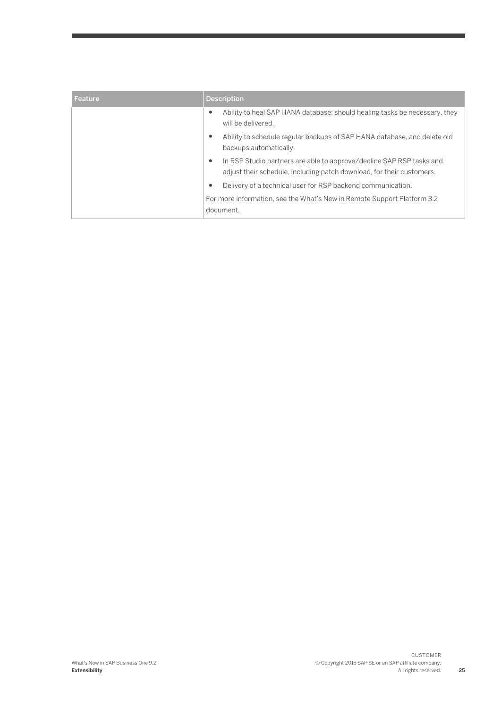| Feature | <b>Description</b>                                                                                                                                         |
|---------|------------------------------------------------------------------------------------------------------------------------------------------------------------|
|         | Ability to heal SAP HANA database; should healing tasks be necessary, they<br>$\bullet$<br>will be delivered.                                              |
|         | Ability to schedule regular backups of SAP HANA database, and delete old<br>$\bullet$<br>backups automatically.                                            |
|         | In RSP Studio partners are able to approve/decline SAP RSP tasks and<br>$\bullet$<br>adjust their schedule, including patch download, for their customers. |
|         | Delivery of a technical user for RSP backend communication.<br>$\bullet$                                                                                   |
|         | For more information, see the What's New in Remote Support Platform 3.2<br>document.                                                                       |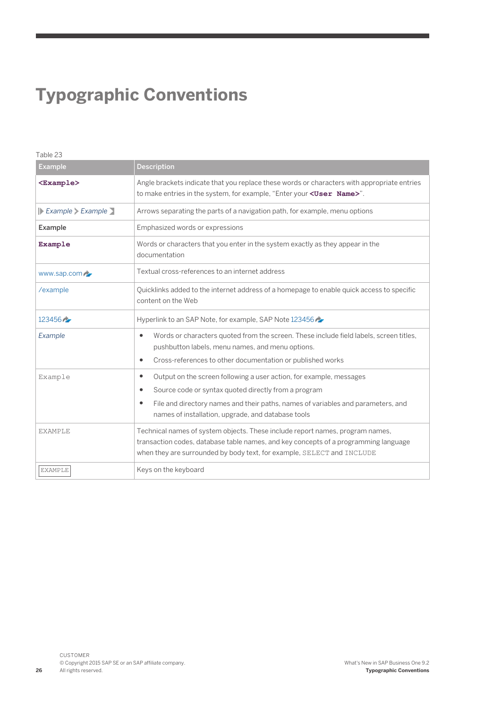## **Typographic Conventions**

| Table 23                                                           |                                                                                                                                                                                                                                                                                      |  |
|--------------------------------------------------------------------|--------------------------------------------------------------------------------------------------------------------------------------------------------------------------------------------------------------------------------------------------------------------------------------|--|
| <b>Example</b>                                                     | <b>Description</b>                                                                                                                                                                                                                                                                   |  |
| $<$ Example>                                                       | Angle brackets indicate that you replace these words or characters with appropriate entries<br>to make entries in the system, for example, "Enter your <user name="">".</user>                                                                                                       |  |
| $\triangleright$ Example $\triangleright$ Example $\triangleright$ | Arrows separating the parts of a navigation path, for example, menu options                                                                                                                                                                                                          |  |
| Example                                                            | Emphasized words or expressions                                                                                                                                                                                                                                                      |  |
| Example                                                            | Words or characters that you enter in the system exactly as they appear in the<br>documentation                                                                                                                                                                                      |  |
| www.sap.com                                                        | Textual cross-references to an internet address                                                                                                                                                                                                                                      |  |
| /example                                                           | Quicklinks added to the internet address of a homepage to enable quick access to specific<br>content on the Web                                                                                                                                                                      |  |
| $123456 -$                                                         | Hyperlink to an SAP Note, for example, SAP Note 123456                                                                                                                                                                                                                               |  |
| Example                                                            | Words or characters quoted from the screen. These include field labels, screen titles,<br>٠<br>pushbutton labels, menu names, and menu options.<br>Cross-references to other documentation or published works<br>$\bullet$                                                           |  |
| Example                                                            | Output on the screen following a user action, for example, messages<br>٠<br>Source code or syntax quoted directly from a program<br>٠<br>File and directory names and their paths, names of variables and parameters, and<br>٠<br>names of installation, upgrade, and database tools |  |
| <b>EXAMPLE</b>                                                     | Technical names of system objects. These include report names, program names,<br>transaction codes, database table names, and key concepts of a programming language<br>when they are surrounded by body text, for example, SELECT and INCLUDE                                       |  |
| <b>EXAMPLE</b>                                                     | Keys on the keyboard                                                                                                                                                                                                                                                                 |  |